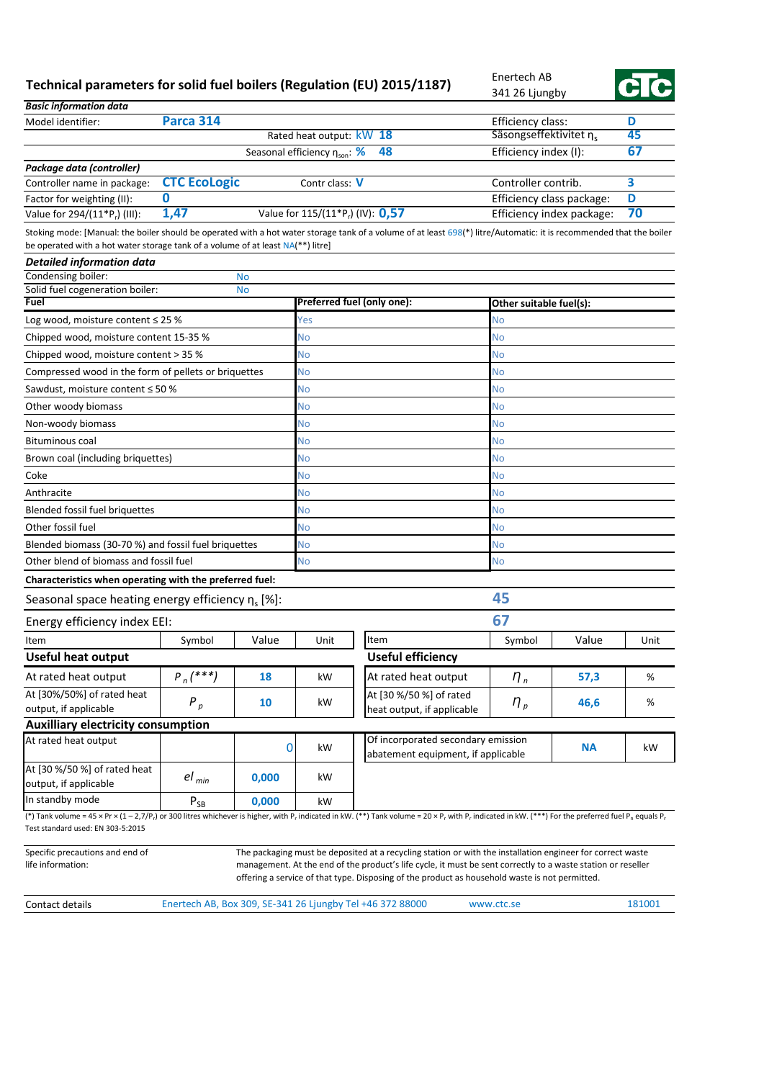## **Technical parameters for solid fuel boilers (Regulation (EU) 2015/1187)**

Enertech AB 341 26 Ljungby



| <b>Basic information data</b>                                                                                                                                                                                                                                                                                    |                          |                          |                                               |                                                                                                                                                                                                                            |                                                        |       |         |  |
|------------------------------------------------------------------------------------------------------------------------------------------------------------------------------------------------------------------------------------------------------------------------------------------------------------------|--------------------------|--------------------------|-----------------------------------------------|----------------------------------------------------------------------------------------------------------------------------------------------------------------------------------------------------------------------------|--------------------------------------------------------|-------|---------|--|
| Model identifier:                                                                                                                                                                                                                                                                                                | Parca 314                |                          | Efficiency class:                             | D                                                                                                                                                                                                                          |                                                        |       |         |  |
|                                                                                                                                                                                                                                                                                                                  |                          | Rated heat output: kW 18 | Säsongseffektivitet n <sub>s</sub>            |                                                                                                                                                                                                                            | 45                                                     |       |         |  |
|                                                                                                                                                                                                                                                                                                                  |                          |                          | Seasonal efficiency $\eta_{\text{son}}$ : %   | 67<br>Efficiency index (I):                                                                                                                                                                                                |                                                        |       |         |  |
| Package data (controller)                                                                                                                                                                                                                                                                                        |                          |                          |                                               |                                                                                                                                                                                                                            |                                                        |       |         |  |
| Controller name in package:                                                                                                                                                                                                                                                                                      | <b>CTC EcoLogic</b><br>0 |                          | Contr class: V                                | 3<br>Controller contrib.                                                                                                                                                                                                   |                                                        |       |         |  |
| Factor for weighting (II):<br>Value for 294/(11*P <sub>r</sub> ) (III):                                                                                                                                                                                                                                          | 1,47                     |                          | Value for 115/(11*P <sub>r</sub> ) (IV): 0,57 |                                                                                                                                                                                                                            | Efficiency class package:<br>Efficiency index package: |       | D<br>70 |  |
|                                                                                                                                                                                                                                                                                                                  |                          |                          |                                               |                                                                                                                                                                                                                            |                                                        |       |         |  |
| Stoking mode: [Manual: the boiler should be operated with a hot water storage tank of a volume of at least 698(*) litre/Automatic: it is recommended that the boiler<br>be operated with a hot water storage tank of a volume of at least NA(**) litre]                                                          |                          |                          |                                               |                                                                                                                                                                                                                            |                                                        |       |         |  |
| <b>Detailed information data</b>                                                                                                                                                                                                                                                                                 |                          |                          |                                               |                                                                                                                                                                                                                            |                                                        |       |         |  |
| Condensing boiler:                                                                                                                                                                                                                                                                                               |                          | <b>No</b>                |                                               |                                                                                                                                                                                                                            |                                                        |       |         |  |
| Solid fuel cogeneration boiler:                                                                                                                                                                                                                                                                                  |                          | <b>No</b>                |                                               |                                                                                                                                                                                                                            |                                                        |       |         |  |
| Fuel                                                                                                                                                                                                                                                                                                             |                          |                          |                                               | Preferred fuel (only one):                                                                                                                                                                                                 | Other suitable fuel(s):                                |       |         |  |
| Log wood, moisture content $\leq 25$ %                                                                                                                                                                                                                                                                           |                          |                          | Yes                                           |                                                                                                                                                                                                                            | No                                                     |       |         |  |
| Chipped wood, moisture content 15-35 %                                                                                                                                                                                                                                                                           |                          |                          | No                                            |                                                                                                                                                                                                                            | No                                                     |       |         |  |
| Chipped wood, moisture content > 35 %                                                                                                                                                                                                                                                                            |                          |                          | No                                            |                                                                                                                                                                                                                            | No                                                     |       |         |  |
| Compressed wood in the form of pellets or briquettes                                                                                                                                                                                                                                                             |                          |                          | No                                            |                                                                                                                                                                                                                            | No                                                     |       |         |  |
| Sawdust, moisture content ≤ 50 %                                                                                                                                                                                                                                                                                 |                          |                          | No                                            |                                                                                                                                                                                                                            | No                                                     |       |         |  |
| Other woody biomass                                                                                                                                                                                                                                                                                              |                          |                          | No                                            |                                                                                                                                                                                                                            | No                                                     |       |         |  |
| Non-woody biomass                                                                                                                                                                                                                                                                                                |                          |                          | No                                            |                                                                                                                                                                                                                            | No                                                     |       |         |  |
| <b>Bituminous coal</b>                                                                                                                                                                                                                                                                                           |                          |                          | No                                            |                                                                                                                                                                                                                            | No                                                     |       |         |  |
| Brown coal (including briquettes)                                                                                                                                                                                                                                                                                |                          |                          | No                                            |                                                                                                                                                                                                                            | No                                                     |       |         |  |
| Coke                                                                                                                                                                                                                                                                                                             |                          |                          | No                                            |                                                                                                                                                                                                                            | No                                                     |       |         |  |
| Anthracite                                                                                                                                                                                                                                                                                                       |                          |                          | No                                            |                                                                                                                                                                                                                            | No                                                     |       |         |  |
| Blended fossil fuel briquettes                                                                                                                                                                                                                                                                                   |                          |                          | No                                            |                                                                                                                                                                                                                            | No                                                     |       |         |  |
| Other fossil fuel                                                                                                                                                                                                                                                                                                |                          |                          | No                                            |                                                                                                                                                                                                                            | No                                                     |       |         |  |
| Blended biomass (30-70 %) and fossil fuel briquettes                                                                                                                                                                                                                                                             |                          |                          | No                                            |                                                                                                                                                                                                                            | No                                                     |       |         |  |
| Other blend of biomass and fossil fuel                                                                                                                                                                                                                                                                           |                          |                          | No                                            |                                                                                                                                                                                                                            | No                                                     |       |         |  |
| Characteristics when operating with the preferred fuel:                                                                                                                                                                                                                                                          |                          |                          |                                               |                                                                                                                                                                                                                            |                                                        |       |         |  |
| Seasonal space heating energy efficiency $\eta_s$ [%]:                                                                                                                                                                                                                                                           |                          |                          |                                               |                                                                                                                                                                                                                            | 45                                                     |       |         |  |
| Energy efficiency index EEI:                                                                                                                                                                                                                                                                                     |                          |                          |                                               |                                                                                                                                                                                                                            | 67                                                     |       |         |  |
| Item                                                                                                                                                                                                                                                                                                             | Symbol                   | Value                    | Unit                                          | Item                                                                                                                                                                                                                       | Symbol                                                 | Value | Unit    |  |
| <b>Useful heat output</b>                                                                                                                                                                                                                                                                                        |                          |                          |                                               | <b>Useful efficiency</b>                                                                                                                                                                                                   |                                                        |       |         |  |
| At rated heat output                                                                                                                                                                                                                                                                                             | $P_n$ (***)              | 18                       | kW                                            | At rated heat output                                                                                                                                                                                                       | $n_{n}$                                                | 57,3  | %       |  |
| At [30%/50%] of rated heat                                                                                                                                                                                                                                                                                       |                          |                          |                                               | At [30 %/50 %] of rated                                                                                                                                                                                                    |                                                        |       |         |  |
| output, if applicable                                                                                                                                                                                                                                                                                            | $P_p$                    | 10                       | kW                                            | heat output, if applicable                                                                                                                                                                                                 | $n_{p}$                                                | 46,6  | $\%$    |  |
| <b>Auxilliary electricity consumption</b>                                                                                                                                                                                                                                                                        |                          |                          |                                               |                                                                                                                                                                                                                            |                                                        |       |         |  |
| At rated heat output                                                                                                                                                                                                                                                                                             | 0                        |                          |                                               | Of incorporated secondary emission<br><b>NA</b><br>abatement equipment, if applicable                                                                                                                                      |                                                        |       | kW      |  |
| At [30 %/50 %] of rated heat<br>output, if applicable                                                                                                                                                                                                                                                            | $el_{min}$               | 0,000                    | kW                                            |                                                                                                                                                                                                                            |                                                        |       |         |  |
| In standby mode                                                                                                                                                                                                                                                                                                  | $P_{SB}$                 | 0,000                    | kW                                            |                                                                                                                                                                                                                            |                                                        |       |         |  |
| (*) Tank volume = 45 x Pr x (1 - 2,7/P <sub>r</sub> ) or 300 litres whichever is higher, with P <sub>r</sub> indicated in kW. (**) Tank volume = 20 x P <sub>r</sub> with P <sub>r</sub> indicated in kW. (***) For the preferred fuel P <sub>n</sub> equals P <sub>r</sub><br>Test standard used: EN 303-5:2015 |                          |                          |                                               |                                                                                                                                                                                                                            |                                                        |       |         |  |
| Specific precautions and end of<br>life information:                                                                                                                                                                                                                                                             |                          |                          |                                               | The packaging must be deposited at a recycling station or with the installation engineer for correct waste<br>management. At the end of the product's life cycle, it must be sent correctly to a waste station or reseller |                                                        |       |         |  |

Contact details **Enertech AB, Box 309, SE-341 26 Ljungby Tel +46 372 88000** www.ctc.se 181001

offering a service of that type. Disposing of the product as household waste is not permitted.